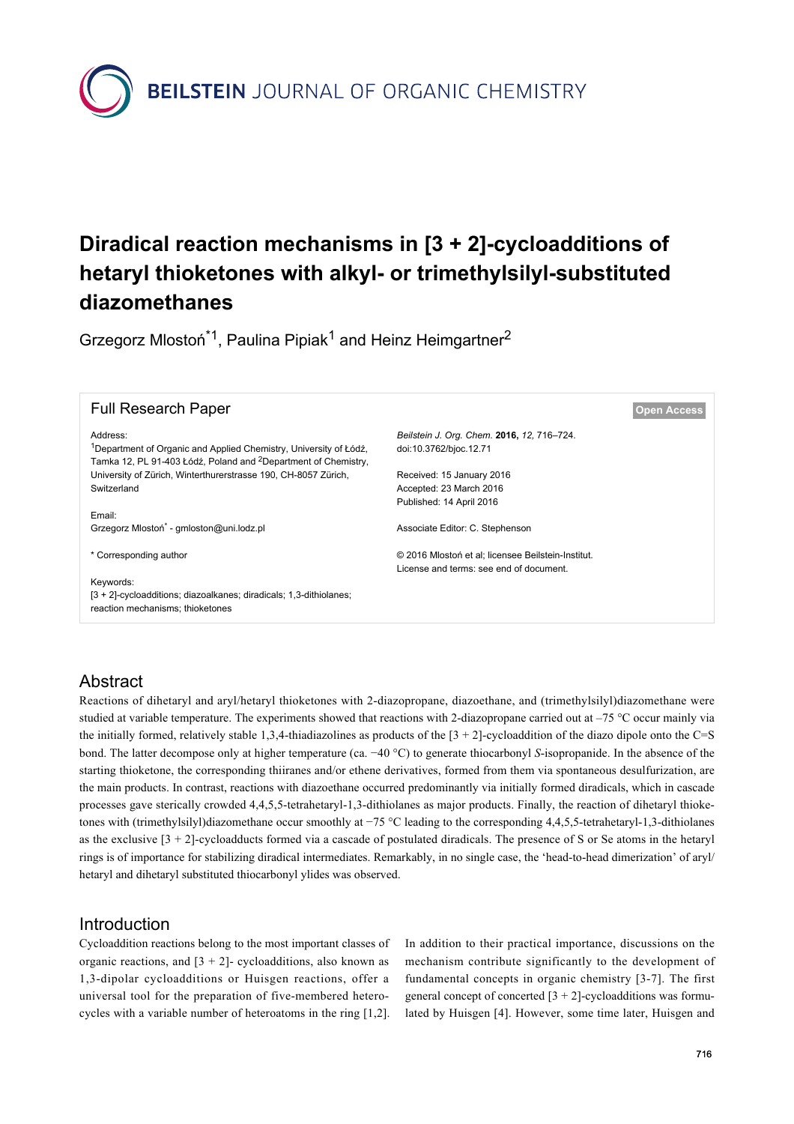**BEILSTEIN** JOURNAL OF ORGANIC CHEMISTRY

# **Diradical reaction mechanisms in [3 + 2]-cycloadditions of hetaryl thioketones with alkyl- or trimethylsilyl-substituted diazomethanes**

Grzegorz Mlostoń<sup>\*1</sup>, Paulina Pipiak<sup>1</sup> and Heinz Heimgartner<sup>2</sup>

| <b>Full Research Paper</b>                                                                                                                                              |                                                                      | <b>Open Access</b> |
|-------------------------------------------------------------------------------------------------------------------------------------------------------------------------|----------------------------------------------------------------------|--------------------|
| Address:<br><sup>1</sup> Department of Organic and Applied Chemistry, University of Łódź,<br>Tamka 12, PL 91-403 Łódź, Poland and <sup>2</sup> Department of Chemistry, | Beilstein J. Org. Chem. 2016, 12, 716–724.<br>doi:10.3762/bjoc.12.71 |                    |
| University of Zürich, Winterthurerstrasse 190, CH-8057 Zürich,                                                                                                          | Received: 15 January 2016                                            |                    |
| Switzerland                                                                                                                                                             | Accepted: 23 March 2016                                              |                    |
|                                                                                                                                                                         | Published: 14 April 2016                                             |                    |
| Email:                                                                                                                                                                  |                                                                      |                    |
| Grzegorz Mlostoń <sup>*</sup> - gmloston@uni.lodz.pl                                                                                                                    | Associate Editor: C. Stephenson                                      |                    |
|                                                                                                                                                                         |                                                                      |                    |
| * Corresponding author                                                                                                                                                  | © 2016 Mlostoń et al; licensee Beilstein-Institut.                   |                    |
|                                                                                                                                                                         | License and terms: see end of document.                              |                    |
| Keywords:                                                                                                                                                               |                                                                      |                    |
| [3 + 2]-cycloadditions; diazoalkanes; diradicals; 1,3-dithiolanes;<br>reaction mechanisms; thioketones                                                                  |                                                                      |                    |
|                                                                                                                                                                         |                                                                      |                    |

# **Abstract**

Reactions of dihetaryl and aryl/hetaryl thioketones with 2-diazopropane, diazoethane, and (trimethylsilyl)diazomethane were studied at variable temperature. The experiments showed that reactions with 2-diazopropane carried out at  $-75$  °C occur mainly via the initially formed, relatively stable 1,3,4-thiadiazolines as products of the  $[3 + 2]$ -cycloaddition of the diazo dipole onto the C=S bond. The latter decompose only at higher temperature (ca. −40 °C) to generate thiocarbonyl *S*-isopropanide. In the absence of the starting thioketone, the corresponding thiiranes and/or ethene derivatives, formed from them via spontaneous desulfurization, are the main products. In contrast, reactions with diazoethane occurred predominantly via initially formed diradicals, which in cascade processes gave sterically crowded 4,4,5,5-tetrahetaryl-1,3-dithiolanes as major products. Finally, the reaction of dihetaryl thioketones with (trimethylsilyl)diazomethane occur smoothly at −75 °C leading to the corresponding 4,4,5,5-tetrahetaryl-1,3-dithiolanes as the exclusive  $[3 + 2]$ -cycloadducts formed via a cascade of postulated diradicals. The presence of S or Se atoms in the hetaryl rings is of importance for stabilizing diradical intermediates. Remarkably, in no single case, the 'head-to-head dimerization' of aryl/ hetaryl and dihetaryl substituted thiocarbonyl ylides was observed.

## Introduction

Cycloaddition reactions belong to the most important classes of organic reactions, and  $[3 + 2]$ - cycloadditions, also known as 1,3-dipolar cycloadditions or Huisgen reactions, offer a universal tool for the preparation of five-membered heterocycles with a variable number of heteroatoms in the ring [\[1,2\]](#page-8-0).

In addition to their practical importance, discussions on the mechanism contribute significantly to the development of fundamental concepts in organic chemistry [\[3-7\].](#page-8-1) The first general concept of concerted  $[3 + 2]$ -cycloadditions was formulated by Huisgen [\[4\]](#page-8-2). However, some time later, Huisgen and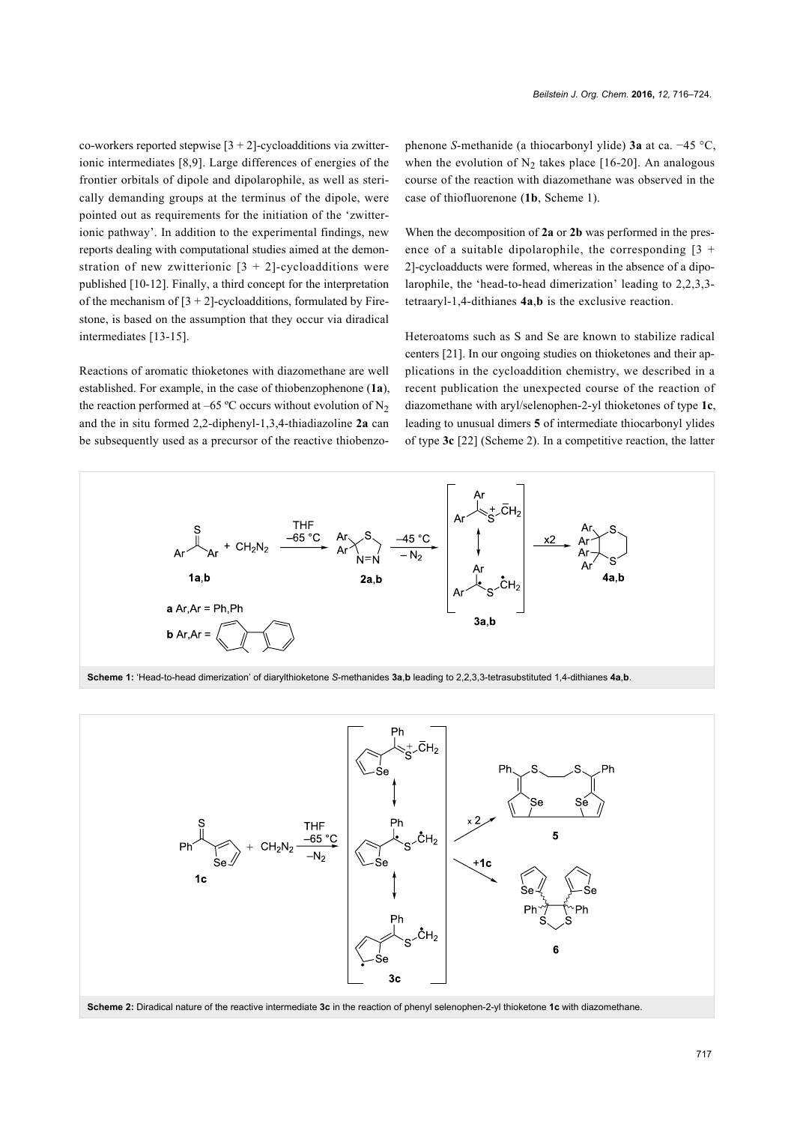co-workers reported stepwise  $[3 + 2]$ -cycloadditions via zwitterionic intermediates [\[8,9\].](#page-8-3) Large differences of energies of the frontier orbitals of dipole and dipolarophile, as well as sterically demanding groups at the terminus of the dipole, were pointed out as requirements for the initiation of the 'zwitterionic pathway'. In addition to the experimental findings, new reports dealing with computational studies aimed at the demonstration of new zwitterionic  $[3 + 2]$ -cycloadditions were published [\[10-12\]](#page-8-4). Finally, a third concept for the interpretation of the mechanism of  $[3 + 2]$ -cycloadditions, formulated by Firestone, is based on the assumption that they occur via diradical intermediates [\[13-15\].](#page-8-5)

Reactions of aromatic thioketones with diazomethane are well established. For example, in the case of thiobenzophenone (**1a**), the reaction performed at –65 °C occurs without evolution of  $N_2$ and the in situ formed 2,2-diphenyl-1,3,4-thiadiazoline **2a** can be subsequently used as a precursor of the reactive thiobenzophenone *S*-methanide (a thiocarbonyl ylide) **3a** at ca. −45 °C, when the evolution of  $N_2$  takes place [\[16-20\].](#page-8-6) An analogous course of the reaction with diazomethane was observed in the case of thiofluorenone (**1b**, [Scheme 1](#page-1-0)).

When the decomposition of **2a** or **2b** was performed in the presence of a suitable dipolarophile, the corresponding  $[3 +$ 2]-cycloadducts were formed, whereas in the absence of a dipolarophile, the 'head-to-head dimerization' leading to 2,2,3,3 tetraaryl-1,4-dithianes **4a**,**b** is the exclusive reaction.

Heteroatoms such as S and Se are known to stabilize radical centers [\[21\]](#page-8-7). In our ongoing studies on thioketones and their applications in the cycloaddition chemistry, we described in a recent publication the unexpected course of the reaction of diazomethane with aryl/selenophen-2-yl thioketones of type **1c**, leading to unusual dimers **5** of intermediate thiocarbonyl ylides of type **3c** [\[22\]](#page-8-8) ([Scheme 2](#page-1-1)). In a competitive reaction, the latter

<span id="page-1-0"></span>

<span id="page-1-1"></span>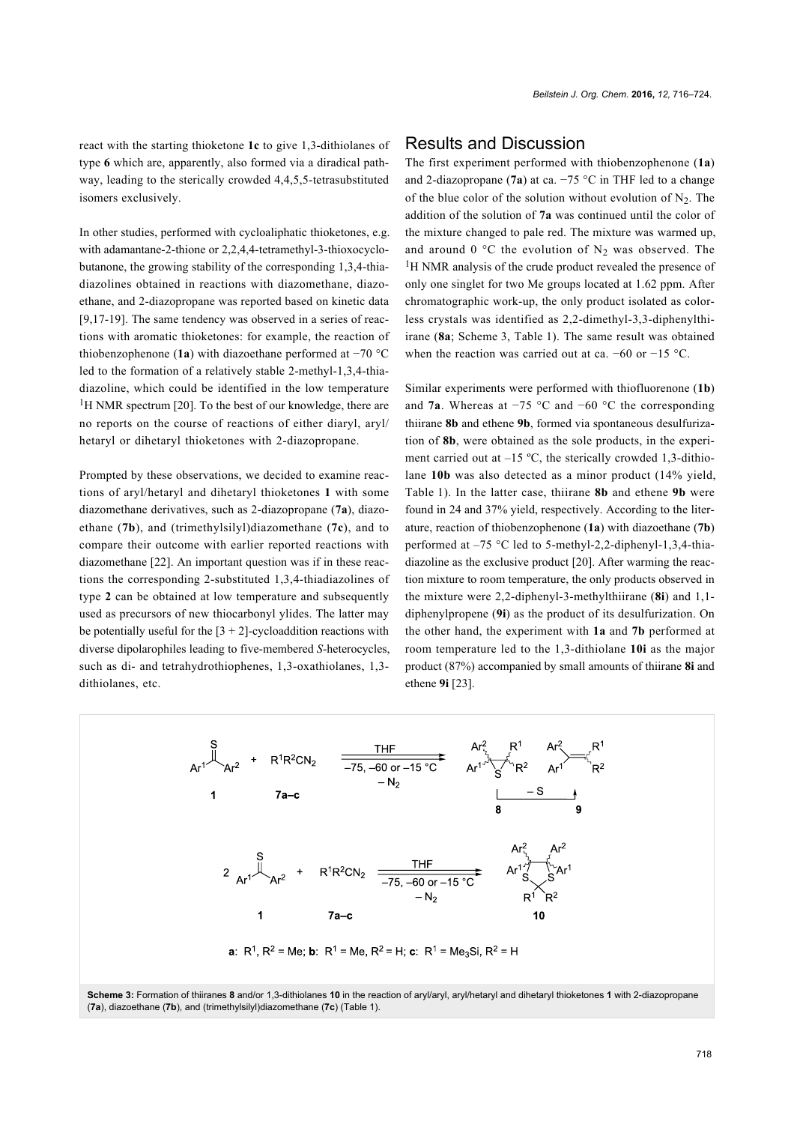react with the starting thioketone **1c** to give 1,3-dithiolanes of type **6** which are, apparently, also formed via a diradical pathway, leading to the sterically crowded 4,4,5,5-tetrasubstituted isomers exclusively.

In other studies, performed with cycloaliphatic thioketones, e.g. with adamantane-2-thione or 2,2,4,4-tetramethyl-3-thioxocyclobutanone, the growing stability of the corresponding 1,3,4-thiadiazolines obtained in reactions with diazomethane, diazoethane, and 2-diazopropane was reported based on kinetic data [\[9,17-19\].](#page-8-9) The same tendency was observed in a series of reactions with aromatic thioketones: for example, the reaction of thiobenzophenone (**1a**) with diazoethane performed at −70 °C led to the formation of a relatively stable 2-methyl-1,3,4-thiadiazoline, which could be identified in the low temperature  $1$ H NMR spectrum [\[20\]](#page-8-10). To the best of our knowledge, there are no reports on the course of reactions of either diaryl, aryl/ hetaryl or dihetaryl thioketones with 2-diazopropane.

Prompted by these observations, we decided to examine reactions of aryl/hetaryl and dihetaryl thioketones **1** with some diazomethane derivatives, such as 2-diazopropane (**7a**), diazoethane (**7b**), and (trimethylsilyl)diazomethane (**7c**), and to compare their outcome with earlier reported reactions with diazomethane [\[22\].](#page-8-8) An important question was if in these reactions the corresponding 2-substituted 1,3,4-thiadiazolines of type **2** can be obtained at low temperature and subsequently used as precursors of new thiocarbonyl ylides. The latter may be potentially useful for the  $[3 + 2]$ -cycloaddition reactions with diverse dipolarophiles leading to five-membered *S*-heterocycles, such as di- and tetrahydrothiophenes, 1,3-oxathiolanes, 1,3 dithiolanes, etc.

#### Results and Discussion

The first experiment performed with thiobenzophenone (**1a**) and 2-diazopropane (**7a**) at ca. −75 °C in THF led to a change of the blue color of the solution without evolution of  $N_2$ . The addition of the solution of **7a** was continued until the color of the mixture changed to pale red. The mixture was warmed up, and around 0 °C the evolution of  $N_2$  was observed. The <sup>1</sup>H NMR analysis of the crude product revealed the presence of only one singlet for two Me groups located at 1.62 ppm. After chromatographic work-up, the only product isolated as colorless crystals was identified as 2,2-dimethyl-3,3-diphenylthiirane (**8a**; [Scheme 3](#page-2-0), [Table 1\)](#page-3-0). The same result was obtained when the reaction was carried out at ca.  $-60$  or  $-15$  °C.

Similar experiments were performed with thiofluorenone (**1b**) and **7a**. Whereas at −75 °C and −60 °C the corresponding thiirane **8b** and ethene **9b**, formed via spontaneous desulfurization of **8b**, were obtained as the sole products, in the experiment carried out at  $-15$  °C, the sterically crowded 1,3-dithiolane **10b** was also detected as a minor product (14% yield, [Table 1](#page-3-0)). In the latter case, thiirane **8b** and ethene **9b** were found in 24 and 37% yield, respectively. According to the literature, reaction of thiobenzophenone (**1a**) with diazoethane (**7b**) performed at –75 °C led to 5-methyl-2,2-diphenyl-1,3,4-thiadiazoline as the exclusive product [\[20\].](#page-8-10) After warming the reaction mixture to room temperature, the only products observed in the mixture were 2,2-diphenyl-3-methylthiirane (**8i**) and 1,1 diphenylpropene (**9i**) as the product of its desulfurization. On the other hand, the experiment with **1a** and **7b** performed at room temperature led to the 1,3-dithiolane **10i** as the major product (87%) accompanied by small amounts of thiirane **8i** and ethene **9i** [\[23\].](#page-8-11)

<span id="page-2-0"></span>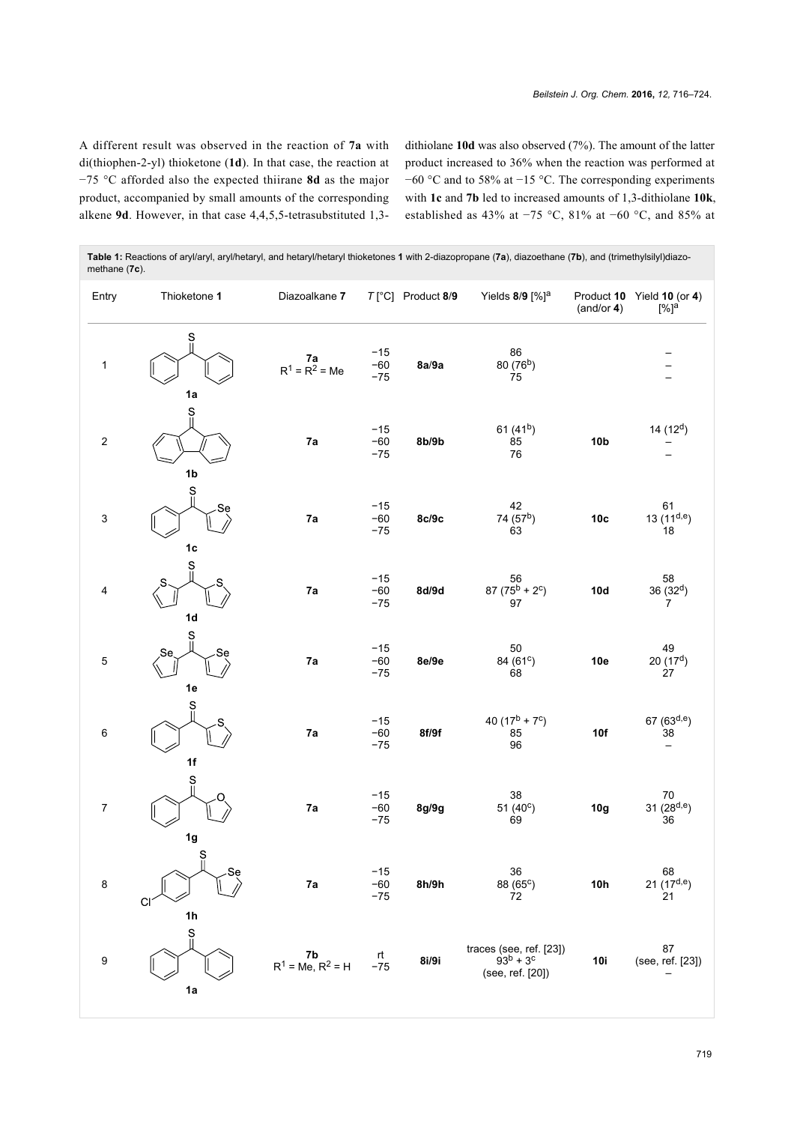A different result was observed in the reaction of **7a** with di(thiophen-2-yl) thioketone (**1d**). In that case, the reaction at −75 °C afforded also the expected thiirane **8d** as the major product, accompanied by small amounts of the corresponding alkene **9d**. However, in that case 4,4,5,5-tetrasubstituted 1,3dithiolane **10d** was also observed (7%). The amount of the latter product increased to 36% when the reaction was performed at −60 °C and to 58% at −15 °C. The corresponding experiments with **1c** and **7b** led to increased amounts of 1,3-dithiolane **10k**, established as 43% at −75 °C, 81% at −60 °C, and 85% at

| methane (7c).             |                                             |                               |                         |                            |                                                                 |                 |                                                  |
|---------------------------|---------------------------------------------|-------------------------------|-------------------------|----------------------------|-----------------------------------------------------------------|-----------------|--------------------------------------------------|
| Entry                     | Thioketone 1                                | Diazoalkane 7                 |                         | $T[^{\circ}C]$ Product 8/9 | Yields 8/9 [%] <sup>a</sup>                                     | (and/or 4)      | Product 10 Yield 10 (or 4)<br>$[%]$ <sup>a</sup> |
| $\mathbf{1}$              | S<br>1a                                     | <b>7a</b><br>$R^1 = R^2 = Me$ | $-15$<br>$-60$<br>$-75$ | 8a/9a                      | 86<br>80 (76 <sup>b</sup> )<br>75                               |                 |                                                  |
| $\boldsymbol{2}$          | Š<br>1 <sub>b</sub>                         | 7a                            | $-15$<br>$-60$<br>$-75$ | 8b/9b                      | 61 $(41b)$<br>85<br>76                                          | 10 <sub>b</sub> | 14 $(12d)$                                       |
| $\ensuremath{\mathsf{3}}$ | $\mathbf{S}$<br>Se<br>1 <sub>c</sub>        | 7a                            | $-15$<br>$-60$<br>$-75$ | 8c/9c                      | 42<br>74 (57 <sup>b</sup> )<br>63                               | 10 <sub>c</sub> | 61<br>13 $(11^{d,e})$<br>18                      |
| 4                         | Ś<br>1 <sub>d</sub>                         | 7a                            | $-15$<br>$-60$<br>$-75$ | 8d/9d                      | 56<br>$87 (75^b + 2^c)$<br>97                                   | 10d             | 58<br>$36(32^d)$<br>7                            |
| 5                         | S<br>Se<br>Se<br>1e                         | 7a                            | $-15$<br>$-60$<br>$-75$ | 8e/9e                      | 50<br>84 (61°)<br>68                                            | 10e             | 49<br>20(17 <sup>d</sup> )<br>27                 |
| 6                         | S<br>1f                                     | 7a                            | $-15$<br>$-60$<br>$-75$ | 8f/9f                      | 40 $(17^b + 7^c)$<br>85<br>96                                   | 10f             | 67 $(63^{d,e})$<br>38<br>$\qquad \qquad -$       |
| $\boldsymbol{7}$          | $\mathbf S$<br>1g                           | 7a                            | $-15$<br>$-60$<br>$-75$ | 8g/9g                      | 38<br>51 $(40^{\circ})$<br>69                                   | 10g             | $70\,$<br>31 $(28^{d,e})$<br>36                  |
| $\bf8$                    | $\frac{S}{I}$<br>Se<br>CI<br>1 <sub>h</sub> | 7a                            | $-15$<br>$-60$<br>$-75$ | 8h/9h                      | 36<br>88 (65°)<br>72                                            | 10h             | $68$<br>21 (17 <sup>d,e</sup> )<br>21            |
| $\boldsymbol{9}$          | S<br>"<br>1a                                | 7b<br>$R^1$ = Me, $R^2$ = H   | rt<br>$-75$             | 8i/9i                      | traces (see, ref. [23])<br>$93^{b} + 3^{c}$<br>(see, ref. [20]) | 10i             | 87<br>(see, ref. [23])                           |

<span id="page-3-0"></span>**Table 1:** Reactions of aryl/aryl, aryl/hetaryl, and hetaryl/hetaryl thioketones **1** with 2-diazopropane (**7a**), diazoethane (**7b**), and (trimethylsilyl)diazo-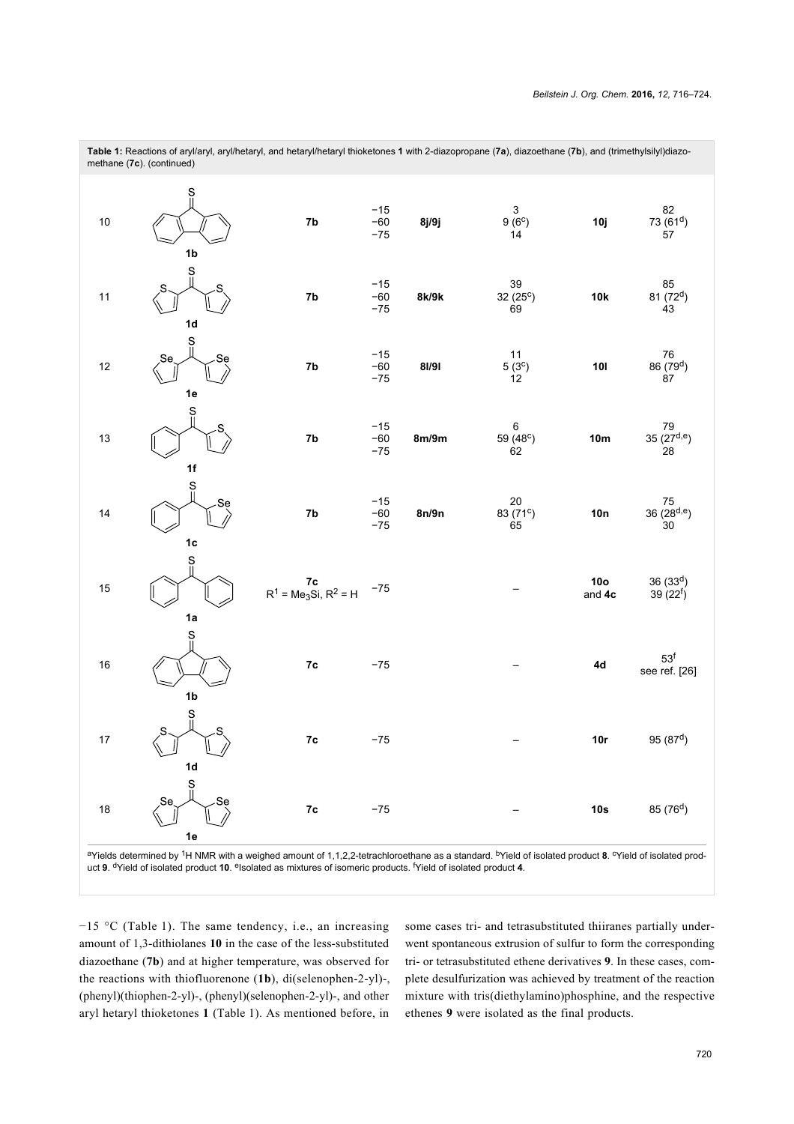|    | methane (7c). (continued)       | $\cdot$ $\cdot$ $\cdot$                            |                         | . L. L. . | $\sim$ $\sim$ $\sim$ $\sim$                 | $\sqrt{2}$<br>$\mathcal{L}$ | $\sqrt{ }$                                 |
|----|---------------------------------|----------------------------------------------------|-------------------------|-----------|---------------------------------------------|-----------------------------|--------------------------------------------|
| 10 | 1 <sub>b</sub>                  | 7b                                                 | $-15$<br>$-60$<br>$-75$ | 8j/9j     | $\ensuremath{\mathsf{3}}$<br>$9(6^c)$<br>14 | 10j                         | 82<br>$73(61^d)$<br>$\overline{57}$        |
| 11 | $\frac{S}{I}$<br>1 <sub>d</sub> | 7b                                                 | $-15$<br>$-60$<br>$-75$ | 8k/9k     | 39<br>$32(25^c)$<br>69                      | 10k                         | 85<br>81 (72 <sup>d</sup> )<br>$\ddot{4}3$ |
| 12 | Ş<br>Sę<br>1e                   | 7b                                                 | $-15$<br>$-60$<br>$-75$ | 81/91     | 11<br>$5(3^c)$<br>12                        | 10I                         | ${\bf 76}$<br>86 (79 <sup>d</sup> )<br>87  |
| 13 | $\frac{S}{\parallel}$<br>1f     | 7b                                                 | $-15$<br>$-60$<br>$-75$ | 8m/9m     | 6<br>59 (48 <sup>c</sup> )<br>62            | 10 <sub>m</sub>             | 79<br>35 (27 <sup>d,e</sup> )<br>28        |
| 14 | $\frac{S}{II}$<br>Se<br>$1c$    | 7b                                                 | $-15$<br>$-60$<br>$-75$ | 8n/9n     | 20<br>83 $(71^c)$<br>65                     | 10n                         | ${\bf 75}$<br>$36(28^{d,e})$<br>$30$       |
| 15 | $\frac{S}{I}$<br>1a             | <b>7c</b><br>$R^1$ = Me <sub>3</sub> Si, $R^2$ = H | $-75$                   |           |                                             | 10 <sub>o</sub><br>and 4c   | 36(33 <sup>d</sup> )<br>$39(22^{f})$       |
| 16 | S<br>1 <sub>b</sub>             | 7c                                                 | $-75$                   |           |                                             | 4d                          | 53 <sup>f</sup><br>see ref. [26]           |
| 17 | Ś<br>1 <sub>d</sub>             | 7c                                                 | $-75$                   |           |                                             | 10r                         | 95 $(87^d)$                                |
| 18 | S<br>Se<br>Se<br>1e             | 7c                                                 | $-75$                   |           |                                             | 10s                         | 85 (76 <sup>d</sup> )                      |

**Table 1:** Reactions of aryl/aryl, aryl/hetaryl, and hetaryl/hetaryl thioketones **1** with 2-diazopropane (**7a**), diazoethane (**7b**), and (trimethylsilyl)diazo-

aYields determined by <sup>1</sup>H NMR with a weighed amount of 1,1,2,2-tetrachloroethane as a standard. <sup>b</sup>Yield of isolated product 8. <sup>c</sup>Yield of isolated product 9. <sup>d</sup>Yield of isolated product 10. <sup>e</sup>lsolated as mixtures of isomeric products. <sup>f</sup>Yield of isolated product 4.

−15 °C ([Table 1](#page-3-0)). The same tendency, i.e., an increasing amount of 1,3-dithiolanes **10** in the case of the less-substituted diazoethane (**7b**) and at higher temperature, was observed for the reactions with thiofluorenone (**1b**), di(selenophen-2-yl)-, (phenyl)(thiophen-2-yl)-, (phenyl)(selenophen-2-yl)-, and other aryl hetaryl thioketones **1** ([Table 1](#page-3-0)). As mentioned before, in

some cases tri- and tetrasubstituted thiiranes partially underwent spontaneous extrusion of sulfur to form the corresponding tri- or tetrasubstituted ethene derivatives **9**. In these cases, complete desulfurization was achieved by treatment of the reaction mixture with tris(diethylamino)phosphine, and the respective ethenes **9** were isolated as the final products.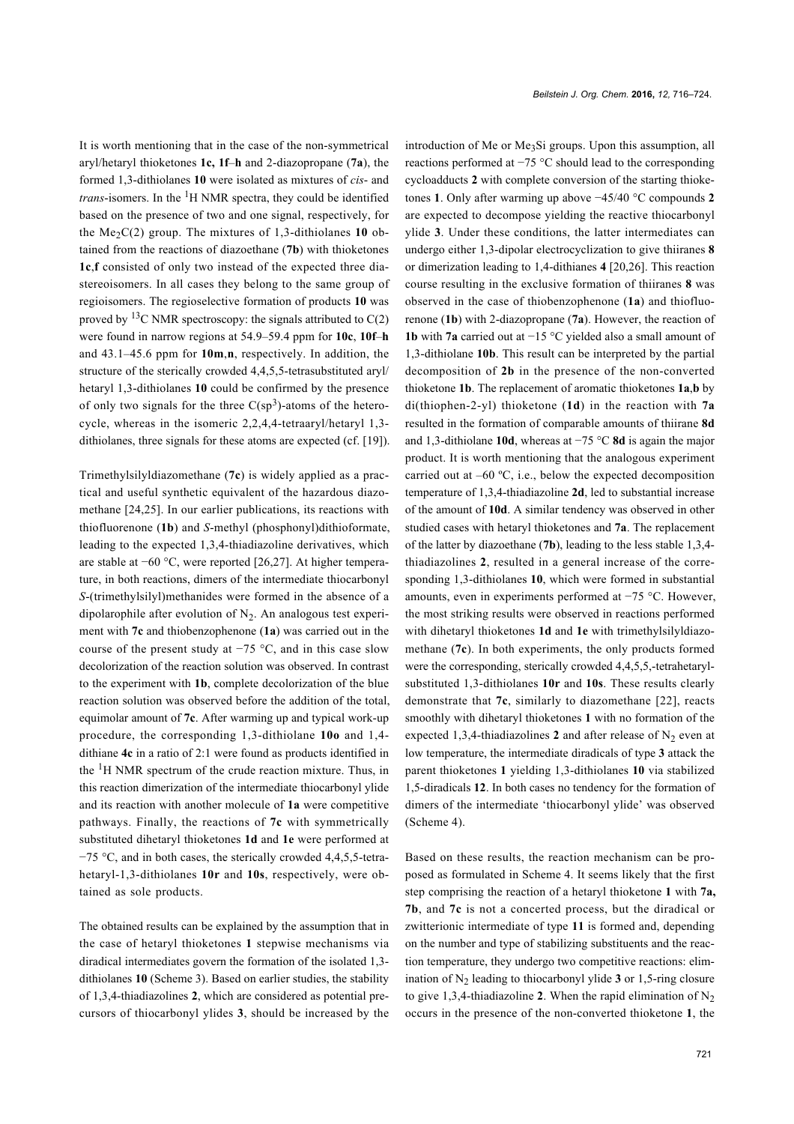It is worth mentioning that in the case of the non-symmetrical aryl/hetaryl thioketones **1c, 1f**–**h** and 2-diazopropane (**7a**), the formed 1,3-dithiolanes **10** were isolated as mixtures of *cis*- and *trans*-isomers. In the  ${}^{1}H$  NMR spectra, they could be identified based on the presence of two and one signal, respectively, for the Me<sub>2</sub>C(2) group. The mixtures of 1,3-dithiolanes **10** obtained from the reactions of diazoethane (**7b**) with thioketones **1c**,**f** consisted of only two instead of the expected three diastereoisomers. In all cases they belong to the same group of regioisomers. The regioselective formation of products **10** was proved by <sup>13</sup>C NMR spectroscopy: the signals attributed to  $C(2)$ were found in narrow regions at 54.9–59.4 ppm for **10c**, **10f**–**h** and 43.1–45.6 ppm for **10m**,**n**, respectively. In addition, the structure of the sterically crowded 4,4,5,5-tetrasubstituted aryl/ hetaryl 1,3-dithiolanes **10** could be confirmed by the presence of only two signals for the three  $C(sp^3)$ -atoms of the heterocycle, whereas in the isomeric 2,2,4,4-tetraaryl/hetaryl 1,3 dithiolanes, three signals for these atoms are expected (cf. [\[19\]](#page-8-13)).

Trimethylsilyldiazomethane (**7c**) is widely applied as a practical and useful synthetic equivalent of the hazardous diazomethane [\[24,25\]](#page-8-14). In our earlier publications, its reactions with thiofluorenone (**1b**) and *S*-methyl (phosphonyl)dithioformate, leading to the expected 1,3,4-thiadiazoline derivatives, which are stable at −60 °C, were reported [\[26,27\].](#page-8-12) At higher temperature, in both reactions, dimers of the intermediate thiocarbonyl *S*-(trimethylsilyl)methanides were formed in the absence of a dipolarophile after evolution of  $N_2$ . An analogous test experiment with **7c** and thiobenzophenone (**1a**) was carried out in the course of the present study at −75 °C, and in this case slow decolorization of the reaction solution was observed. In contrast to the experiment with **1b**, complete decolorization of the blue reaction solution was observed before the addition of the total, equimolar amount of **7c**. After warming up and typical work-up procedure, the corresponding 1,3-dithiolane **10o** and 1,4 dithiane **4c** in a ratio of 2:1 were found as products identified in the  ${}^{1}$ H NMR spectrum of the crude reaction mixture. Thus, in this reaction dimerization of the intermediate thiocarbonyl ylide and its reaction with another molecule of **1a** were competitive pathways. Finally, the reactions of **7c** with symmetrically substituted dihetaryl thioketones **1d** and **1e** were performed at −75 °C, and in both cases, the sterically crowded 4,4,5,5-tetrahetaryl-1,3-dithiolanes **10r** and **10s**, respectively, were obtained as sole products.

The obtained results can be explained by the assumption that in the case of hetaryl thioketones **1** stepwise mechanisms via diradical intermediates govern the formation of the isolated 1,3 dithiolanes **10** ([Scheme 3\)](#page-2-0). Based on earlier studies, the stability of 1,3,4-thiadiazolines **2**, which are considered as potential precursors of thiocarbonyl ylides **3**, should be increased by the

introduction of Me or Me<sub>3</sub>Si groups. Upon this assumption, all reactions performed at −75 °C should lead to the corresponding cycloadducts **2** with complete conversion of the starting thioketones **1**. Only after warming up above −45/40 °C compounds **2** are expected to decompose yielding the reactive thiocarbonyl ylide **3**. Under these conditions, the latter intermediates can undergo either 1,3-dipolar electrocyclization to give thiiranes **8** or dimerization leading to 1,4-dithianes **4** [\[20,26\]](#page-8-10). This reaction course resulting in the exclusive formation of thiiranes **8** was observed in the case of thiobenzophenone (**1a**) and thiofluorenone (**1b**) with 2-diazopropane (**7a**). However, the reaction of **1b** with **7a** carried out at −15 °C yielded also a small amount of 1,3-dithiolane **10b**. This result can be interpreted by the partial decomposition of **2b** in the presence of the non-converted thioketone **1b**. The replacement of aromatic thioketones **1a**,**b** by di(thiophen-2-yl) thioketone (**1d**) in the reaction with **7a** resulted in the formation of comparable amounts of thiirane **8d** and 1,3-dithiolane **10d**, whereas at −75 °C **8d** is again the major product. It is worth mentioning that the analogous experiment carried out at  $-60$  °C, i.e., below the expected decomposition temperature of 1,3,4-thiadiazoline **2d**, led to substantial increase of the amount of **10d**. A similar tendency was observed in other studied cases with hetaryl thioketones and **7a**. The replacement of the latter by diazoethane (**7b**), leading to the less stable 1,3,4 thiadiazolines **2**, resulted in a general increase of the corresponding 1,3-dithiolanes **10**, which were formed in substantial amounts, even in experiments performed at −75 °C. However, the most striking results were observed in reactions performed with dihetaryl thioketones **1d** and **1e** with trimethylsilyldiazomethane (**7c**). In both experiments, the only products formed were the corresponding, sterically crowded 4,4,5,5,-tetrahetarylsubstituted 1,3-dithiolanes **10r** and **10s**. These results clearly demonstrate that **7c**, similarly to diazomethane [\[22\]](#page-8-8), reacts smoothly with dihetaryl thioketones **1** with no formation of the expected 1,3,4-thiadiazolines 2 and after release of  $N_2$  even at low temperature, the intermediate diradicals of type **3** attack the parent thioketones **1** yielding 1,3-dithiolanes **10** via stabilized 1,5-diradicals **12**. In both cases no tendency for the formation of dimers of the intermediate 'thiocarbonyl ylide' was observed ([Scheme 4](#page-6-0)).

Based on these results, the reaction mechanism can be proposed as formulated in [Scheme 4](#page-6-0). It seems likely that the first step comprising the reaction of a hetaryl thioketone **1** with **7a, 7b**, and **7c** is not a concerted process, but the diradical or zwitterionic intermediate of type **11** is formed and, depending on the number and type of stabilizing substituents and the reaction temperature, they undergo two competitive reactions: elimination of  $N_2$  leading to thiocarbonyl ylide  $3$  or 1,5-ring closure to give 1,3,4-thiadiazoline 2. When the rapid elimination of  $N_2$ occurs in the presence of the non-converted thioketone **1**, the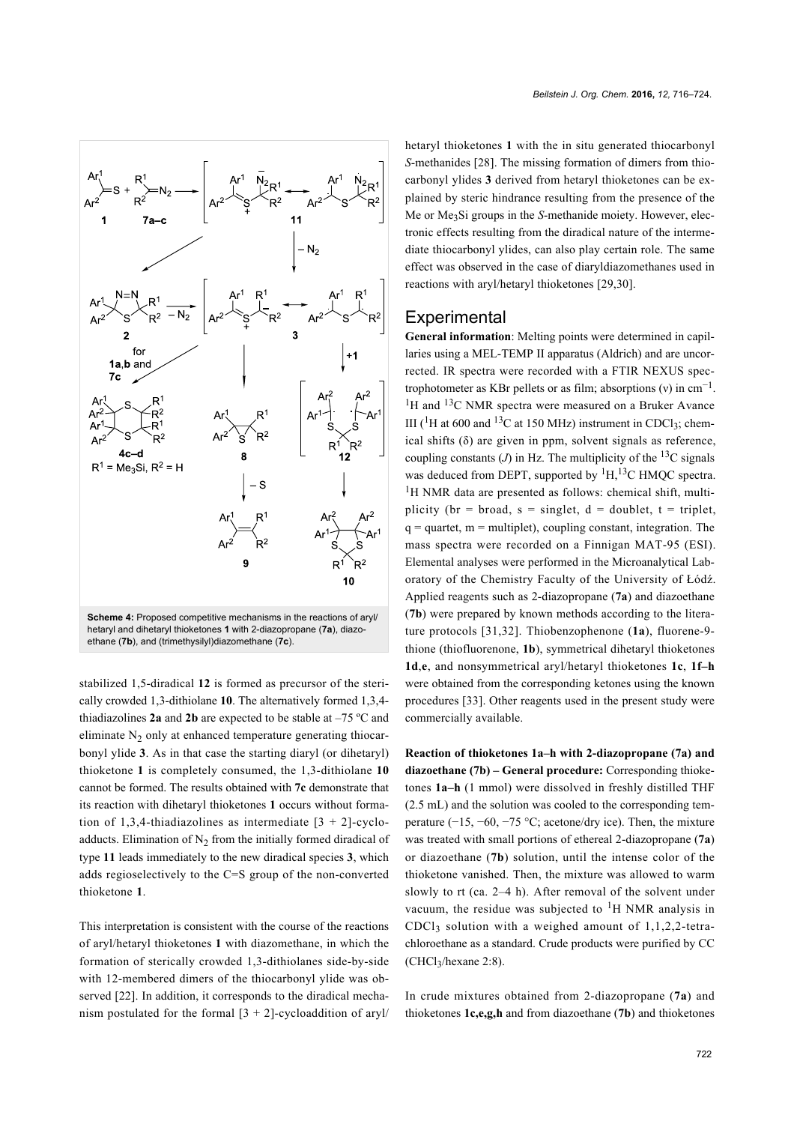<span id="page-6-0"></span>

stabilized 1,5-diradical **12** is formed as precursor of the sterically crowded 1,3-dithiolane **10**. The alternatively formed 1,3,4 thiadiazolines **2a** and **2b** are expected to be stable at –75 ºC and eliminate  $N_2$  only at enhanced temperature generating thiocarbonyl ylide **3**. As in that case the starting diaryl (or dihetaryl) thioketone **1** is completely consumed, the 1,3-dithiolane **10** cannot be formed. The results obtained with **7c** demonstrate that its reaction with dihetaryl thioketones **1** occurs without formation of 1,3,4-thiadiazolines as intermediate  $[3 + 2]$ -cycloadducts. Elimination of  $N_2$  from the initially formed diradical of type **11** leads immediately to the new diradical species **3**, which adds regioselectively to the C=S group of the non-converted thioketone **1**.

This interpretation is consistent with the course of the reactions of aryl/hetaryl thioketones **1** with diazomethane, in which the formation of sterically crowded 1,3-dithiolanes side-by-side with 12-membered dimers of the thiocarbonyl ylide was observed [\[22\]](#page-8-8). In addition, it corresponds to the diradical mechanism postulated for the formal  $[3 + 2]$ -cycloaddition of aryl/

hetaryl thioketones **1** with the in situ generated thiocarbonyl *S*-methanides [\[28\]](#page-8-15). The missing formation of dimers from thiocarbonyl ylides **3** derived from hetaryl thioketones can be explained by steric hindrance resulting from the presence of the Me or Me3Si groups in the *S*-methanide moiety. However, electronic effects resulting from the diradical nature of the intermediate thiocarbonyl ylides, can also play certain role. The same effect was observed in the case of diaryldiazomethanes used in reactions with aryl/hetaryl thioketones [\[29,30\]](#page-8-16).

#### **Experimental**

**General information**: Melting points were determined in capillaries using a MEL-TEMP II apparatus (Aldrich) and are uncorrected. IR spectra were recorded with a FTIR NEXUS spectrophotometer as KBr pellets or as film; absorptions (v) in  $cm^{-1}$ .  $1_H$  and  $13C$  NMR spectra were measured on a Bruker Avance III ( ${}^{1}$ H at 600 and  ${}^{13}$ C at 150 MHz) instrument in CDCl<sub>3</sub>; chemical shifts (δ) are given in ppm, solvent signals as reference, coupling constants  $(J)$  in Hz. The multiplicity of the <sup>13</sup>C signals was deduced from DEPT, supported by  ${}^{1}H,{}^{13}C$  HMQC spectra. <sup>1</sup>H NMR data are presented as follows: chemical shift, multiplicity (br = broad, s = singlet,  $d =$  doublet, t = triplet,  $q =$  quartet,  $m =$  multiplet), coupling constant, integration. The mass spectra were recorded on a Finnigan MAT-95 (ESI). Elemental analyses were performed in the Microanalytical Laboratory of the Chemistry Faculty of the University of Łódź. Applied reagents such as 2-diazopropane (**7a**) and diazoethane (**7b**) were prepared by known methods according to the literature protocols [\[31,32\].](#page-8-17) Thiobenzophenone (**1a**), fluorene-9 thione (thiofluorenone, **1b**), symmetrical dihetaryl thioketones **1d**,**e**, and nonsymmetrical aryl/hetaryl thioketones **1c**, **1f–h** were obtained from the corresponding ketones using the known procedures [\[33\].](#page-8-18) Other reagents used in the present study were commercially available.

**Reaction of thioketones 1a–h with 2-diazopropane (7a) and diazoethane (7b) – General procedure:** Corresponding thioketones **1a–h** (1 mmol) were dissolved in freshly distilled THF (2.5 mL) and the solution was cooled to the corresponding temperature (−15, −60, −75 °C; acetone/dry ice). Then, the mixture was treated with small portions of ethereal 2-diazopropane (**7a**) or diazoethane (**7b**) solution, until the intense color of the thioketone vanished. Then, the mixture was allowed to warm slowly to rt (ca. 2–4 h). After removal of the solvent under vacuum, the residue was subjected to  ${}^{1}H$  NMR analysis in CDCl<sub>3</sub> solution with a weighed amount of  $1,1,2,2$ -tetrachloroethane as a standard. Crude products were purified by CC (CHCl<sup>3</sup> /hexane 2:8).

In crude mixtures obtained from 2-diazopropane (**7a**) and thioketones **1c,e,g,h** and from diazoethane (**7b**) and thioketones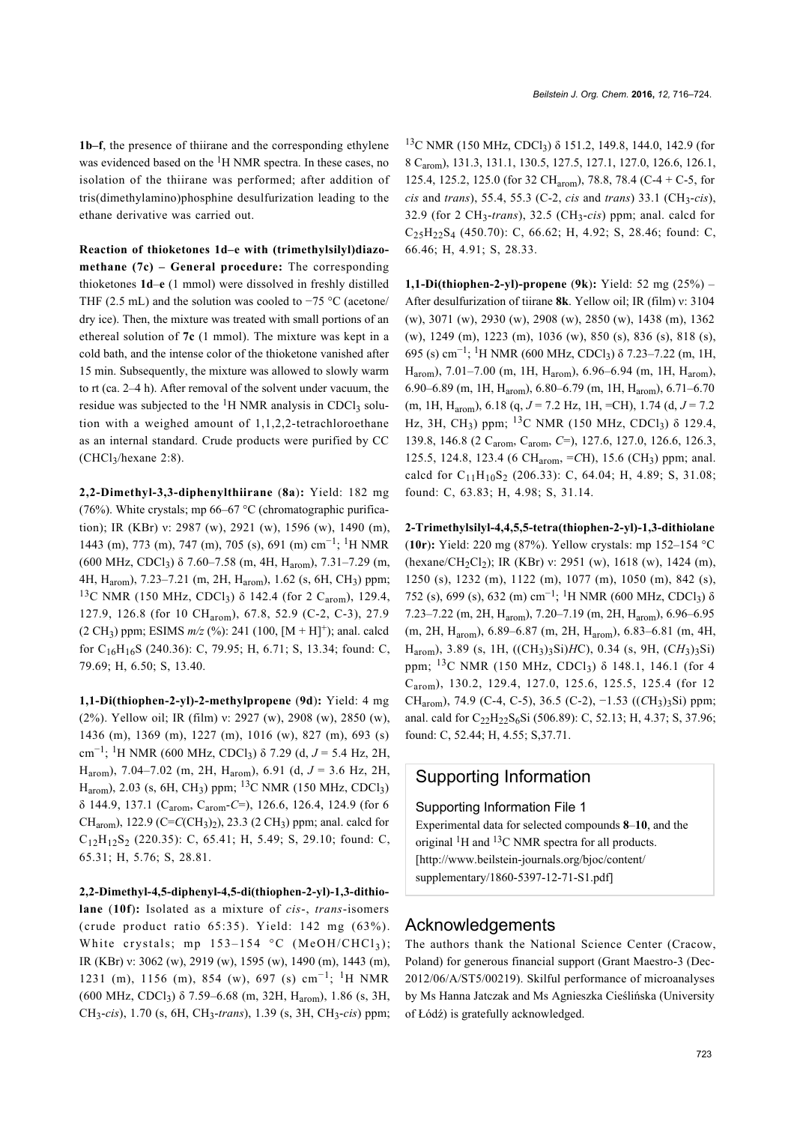**1b–f**, the presence of thiirane and the corresponding ethylene was evidenced based on the <sup>1</sup>H NMR spectra. In these cases, no isolation of the thiirane was performed; after addition of tris(dimethylamino)phosphine desulfurization leading to the ethane derivative was carried out.

**Reaction of thioketones 1d–e with (trimethylsilyl)diazomethane (7c) – General procedure:** The corresponding thioketones **1d**–**e** (1 mmol) were dissolved in freshly distilled THF (2.5 mL) and the solution was cooled to  $-75$  °C (acetone/ dry ice). Then, the mixture was treated with small portions of an ethereal solution of **7c** (1 mmol). The mixture was kept in a cold bath, and the intense color of the thioketone vanished after 15 min. Subsequently, the mixture was allowed to slowly warm to rt (ca. 2–4 h). After removal of the solvent under vacuum, the residue was subjected to the  ${}^{1}H$  NMR analysis in CDCl<sub>3</sub> solution with a weighed amount of 1,1,2,2-tetrachloroethane as an internal standard. Crude products were purified by CC (CHCl3/hexane 2:8).

**2,2-Dimethyl-3,3-diphenylthiirane** (**8a**)**:** Yield: 182 mg (76%). White crystals: mp  $66-67$  °C (chromatographic purification); IR (KBr) ν: 2987 (w), 2921 (w), 1596 (w), 1490 (m), 1443 (m), 773 (m), 747 (m), 705 (s), 691 (m) cm−<sup>1</sup> ; 1H NMR (600 MHz, CDCl3) δ 7.60–7.58 (m, 4H, Harom), 7.31–7.29 (m, 4H, Harom), 7.23–7.21 (m, 2H, Harom), 1.62 (s, 6H, CH3) ppm; <sup>13</sup>C NMR (150 MHz, CDCl<sub>3</sub>) δ 142.4 (for 2 C<sub>arom</sub>), 129.4, 127.9, 126.8 (for 10 CHarom), 67.8, 52.9 (C-2, C-3), 27.9  $(2 \text{ CH}_3)$  ppm; ESIMS  $m/z$  (%): 241 (100,  $[M + H]$ <sup>+</sup>); anal. calcd for C16H16S (240.36): C, 79.95; H, 6.71; S, 13.34; found: C, 79.69; H, 6.50; S, 13.40.

**1,1-Di(thiophen-2-yl)-2-methylpropene** (**9d**)**:** Yield: 4 mg (2%). Yellow oil; IR (film) ν: 2927 (w), 2908 (w), 2850 (w), 1436 (m), 1369 (m), 1227 (m), 1016 (w), 827 (m), 693 (s) cm−<sup>1</sup> ; 1H NMR (600 MHz, CDCl3) δ 7.29 (d, *J* = 5.4 Hz, 2H, Harom), 7.04–7.02 (m, 2H, Harom), 6.91 (d, *J* = 3.6 Hz, 2H,  $H_{\text{arom}}$ ), 2.03 (s, 6H, CH<sub>3</sub>) ppm; <sup>13</sup>C NMR (150 MHz, CDCl<sub>3</sub>) δ 144.9, 137.1 (Carom, Carom-*C*=), 126.6, 126.4, 124.9 (for 6 CH<sub>arom</sub>), 122.9 (C=C(CH<sub>3</sub>)<sub>2</sub>), 23.3 (2 CH<sub>3</sub>) ppm; anal. calcd for  $C_{12}H_{12}S_2$  (220.35): C, 65.41; H, 5.49; S, 29.10; found: C, 65.31; H, 5.76; S, 28.81.

**2,2-Dimethyl-4,5-diphenyl-4,5-di(thiophen-2-yl)-1,3-dithiolane** (**10f**)**:** Isolated as a mixture of *cis*-, *trans*-isomers (crude product ratio 65:35). Yield: 142 mg (63%). White crystals; mp  $153-154$  °C (MeOH/CHCl<sub>3</sub>); IR (KBr) ν: 3062 (w), 2919 (w), 1595 (w), 1490 (m), 1443 (m), 1231 (m), 1156 (m), 854 (w), 697 (s) cm−<sup>1</sup> ; 1H NMR (600 MHz, CDCl<sub>3</sub>)  $\delta$  7.59–6.68 (m, 32H, H<sub>arom</sub>), 1.86 (s, 3H, CH<sup>3</sup> -*cis*), 1.70 (s, 6H, CH<sup>3</sup> -*trans*), 1.39 (s, 3H, CH<sup>3</sup> -*cis*) ppm;

<sup>13</sup>C NMR (150 MHz, CDCl<sub>3</sub>) δ 151.2, 149.8, 144.0, 142.9 (for 8 Carom), 131.3, 131.1, 130.5, 127.5, 127.1, 127.0, 126.6, 126.1, 125.4, 125.2, 125.0 (for 32 CHarom), 78.8, 78.4 (C-4 + C-5, for *cis* and *trans*), 55.4, 55.3 (C-2, *cis* and *trans*) 33.1 (CH3-*cis*), 32.9 (for 2 CH3-*trans*), 32.5 (CH3-*cis*) ppm; anal. calcd for  $C_{25}H_{22}S_{4}$  (450.70): C, 66.62; H, 4.92; S, 28.46; found: C, 66.46; H, 4.91; S, 28.33.

**1,1-Di(thiophen-2-yl)-propene** (**9k**)**:** Yield: 52 mg (25%) – After desulfurization of tiirane **8k**. Yellow oil; IR (film) ν: 3104 (w), 3071 (w), 2930 (w), 2908 (w), 2850 (w), 1438 (m), 1362 (w), 1249 (m), 1223 (m), 1036 (w), 850 (s), 836 (s), 818 (s), 695 (s) cm−<sup>1</sup> ; 1H NMR (600 MHz, CDCl3) δ 7.23–7.22 (m, 1H, Harom), 7.01–7.00 (m, 1H, Harom), 6.96–6.94 (m, 1H, Harom), 6.90–6.89 (m, 1H, Harom), 6.80–6.79 (m, 1H, Harom), 6.71–6.70 (m, 1H, Harom), 6.18 (q, *J* = 7.2 Hz, 1H, =CH), 1.74 (d, *J* = 7.2 Hz, 3H, CH<sub>3</sub>) ppm; <sup>13</sup>C NMR (150 MHz, CDCl<sub>3</sub>)  $\delta$  129.4, 139.8, 146.8 (2 Carom, Carom, *C*=), 127.6, 127.0, 126.6, 126.3, 125.5, 124.8, 123.4 (6 CHarom, =*C*H), 15.6 (CH3) ppm; anal. calcd for  $C_{11}H_{10}S_2$  (206.33): C, 64.04; H, 4.89; S, 31.08; found: C, 63.83; H, 4.98; S, 31.14.

**2-Trimethylsilyl-4,4,5,5-tetra(thiophen-2-yl)-1,3-dithiolane** (**10r**)**:** Yield: 220 mg (87%). Yellow crystals: mp 152–154 °C (hexane/CH<sub>2</sub>Cl<sub>2</sub>); IR (KBr) ν: 2951 (w), 1618 (w), 1424 (m), 1250 (s), 1232 (m), 1122 (m), 1077 (m), 1050 (m), 842 (s), 752 (s), 699 (s), 632 (m) cm−<sup>1</sup> ; 1H NMR (600 MHz, CDCl3) δ 7.23–7.22 (m, 2H, Harom), 7.20–7.19 (m, 2H, Harom), 6.96–6.95 (m, 2H, Harom), 6.89–6.87 (m, 2H, Harom), 6.83–6.81 (m, 4H, Harom), 3.89 (s, 1H, ((CH3)3Si)*H*C), 0.34 (s, 9H, (C*H*3)3Si) ppm;  $^{13}$ C NMR (150 MHz, CDCl<sub>3</sub>)  $\delta$  148.1, 146.1 (for 4 Carom), 130.2, 129.4, 127.0, 125.6, 125.5, 125.4 (for 12 CH<sub>arom</sub>), 74.9 (C-4, C-5), 36.5 (C-2), -1.53 ((CH<sub>3</sub>)<sub>3</sub>Si) ppm; anal. cald for  $C_{22}H_{22}S_6Si$  (506.89): C, 52.13; H, 4.37; S, 37.96; found: C, 52.44; H, 4.55; S,37.71.

### Supporting Information

#### Supporting Information File 1

Experimental data for selected compounds **8**–**10**, and the original  ${}^{1}$ H and  ${}^{13}$ C NMR spectra for all products. [\[http://www.beilstein-journals.org/bjoc/content/](http://www.beilstein-journals.org/bjoc/content/supplementary/1860-5397-12-71-S1.pdf) [supplementary/1860-5397-12-71-S1.pdf\]](http://www.beilstein-journals.org/bjoc/content/supplementary/1860-5397-12-71-S1.pdf)

#### Acknowledgements

The authors thank the National Science Center (Cracow, Poland) for generous financial support (Grant Maestro-3 (Dec-2012/06/A/ST5/00219). Skilful performance of microanalyses by Ms Hanna Jatczak and Ms Agnieszka Cieślińska (University of Łódź) is gratefully acknowledged.